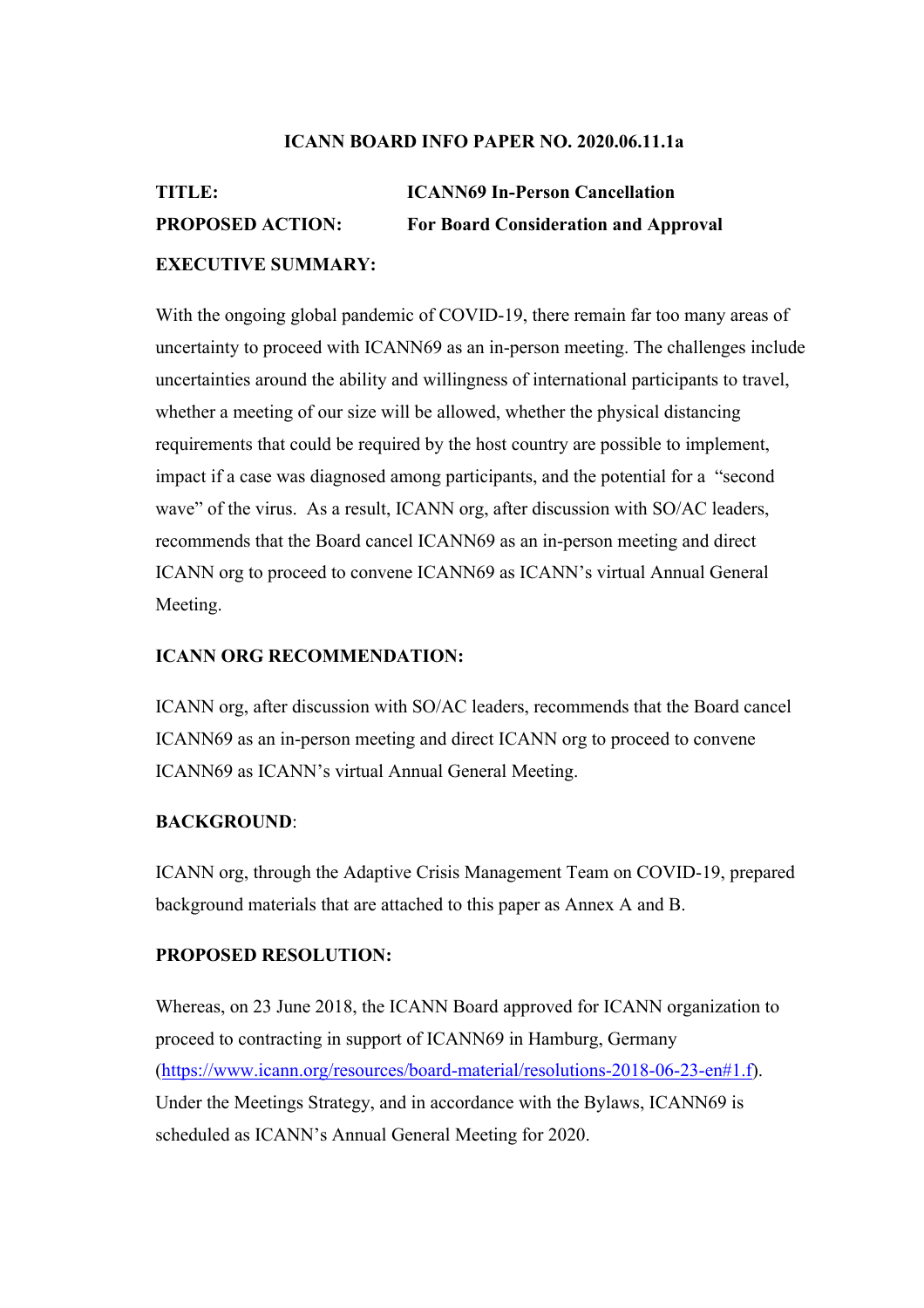#### **ICANN BOARD INFO PAPER NO. 2020.06.11.1a**

# **TITLE: ICANN69 In-Person Cancellation PROPOSED ACTION: For Board Consideration and Approval EXECUTIVE SUMMARY:**

With the ongoing global pandemic of COVID-19, there remain far too many areas of uncertainty to proceed with ICANN69 as an in-person meeting. The challenges include uncertainties around the ability and willingness of international participants to travel, whether a meeting of our size will be allowed, whether the physical distancing requirements that could be required by the host country are possible to implement, impact if a case was diagnosed among participants, and the potential for a "second wave" of the virus. As a result, ICANN org, after discussion with SO/AC leaders, recommends that the Board cancel ICANN69 as an in-person meeting and direct ICANN org to proceed to convene ICANN69 as ICANN's virtual Annual General Meeting.

#### **ICANN ORG RECOMMENDATION:**

ICANN org, after discussion with SO/AC leaders, recommends that the Board cancel ICANN69 as an in-person meeting and direct ICANN org to proceed to convene ICANN69 as ICANN's virtual Annual General Meeting.

#### **BACKGROUND**:

ICANN org, through the Adaptive Crisis Management Team on COVID-19, prepared background materials that are attached to this paper as Annex A and B.

#### **PROPOSED RESOLUTION:**

Whereas, on 23 June 2018, the ICANN Board approved for ICANN organization to proceed to contracting in support of ICANN69 in Hamburg, Germany (https://www.icann.org/resources/board-material/resolutions-2018-06-23-en#1.f). Under the Meetings Strategy, and in accordance with the Bylaws, ICANN69 is scheduled as ICANN's Annual General Meeting for 2020.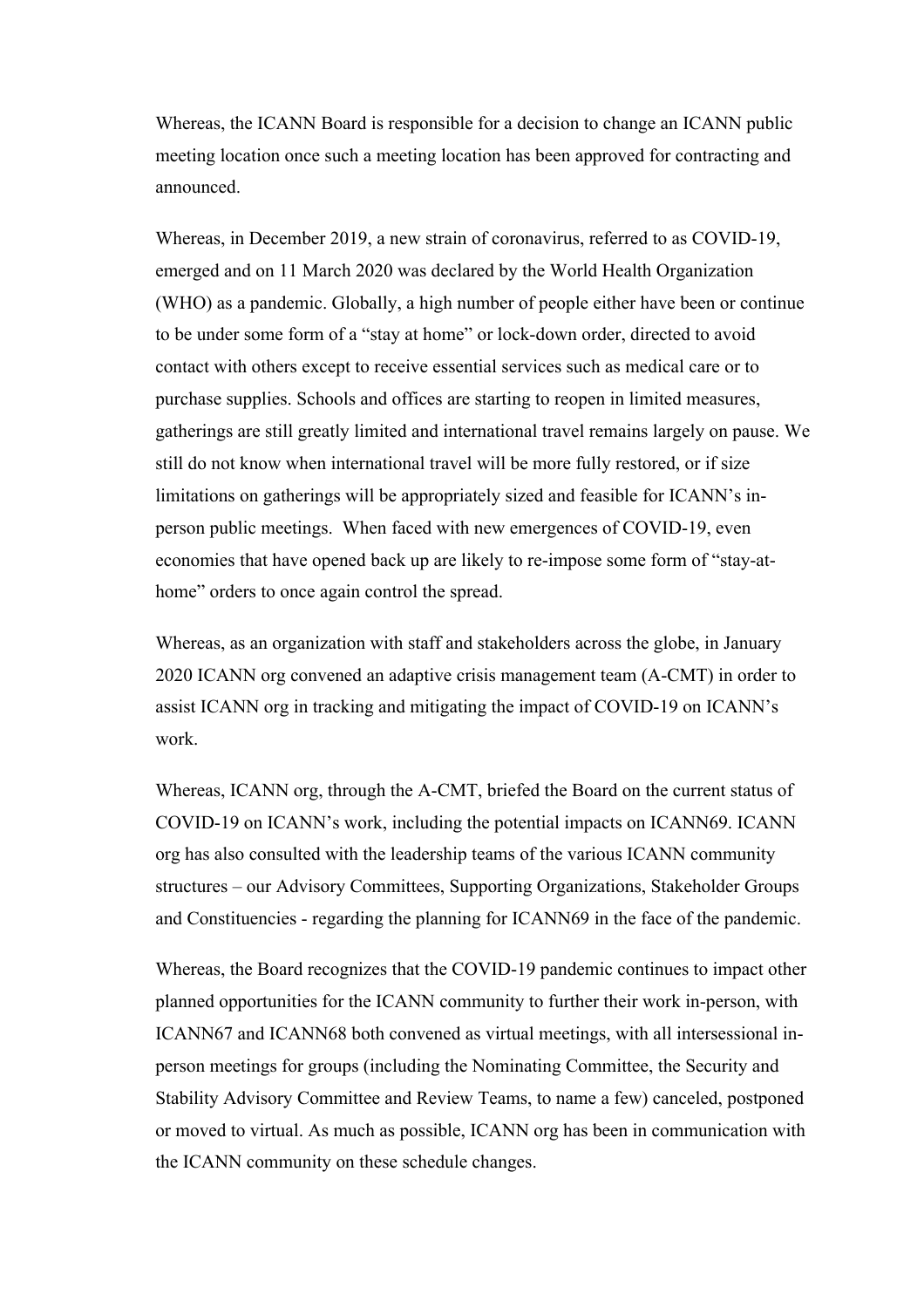Whereas, the ICANN Board is responsible for a decision to change an ICANN public meeting location once such a meeting location has been approved for contracting and announced.

Whereas, in December 2019, a new strain of coronavirus, referred to as COVID-19, emerged and on 11 March 2020 was declared by the World Health Organization (WHO) as a pandemic. Globally, a high number of people either have been or continue to be under some form of a "stay at home" or lock-down order, directed to avoid contact with others except to receive essential services such as medical care or to purchase supplies. Schools and offices are starting to reopen in limited measures, gatherings are still greatly limited and international travel remains largely on pause. We still do not know when international travel will be more fully restored, or if size limitations on gatherings will be appropriately sized and feasible for ICANN's inperson public meetings. When faced with new emergences of COVID-19, even economies that have opened back up are likely to re-impose some form of "stay-athome" orders to once again control the spread.

Whereas, as an organization with staff and stakeholders across the globe, in January 2020 ICANN org convened an adaptive crisis management team (A-CMT) in order to assist ICANN org in tracking and mitigating the impact of COVID-19 on ICANN's work.

Whereas, ICANN org, through the A-CMT, briefed the Board on the current status of COVID-19 on ICANN's work, including the potential impacts on ICANN69. ICANN org has also consulted with the leadership teams of the various ICANN community structures – our Advisory Committees, Supporting Organizations, Stakeholder Groups and Constituencies - regarding the planning for ICANN69 in the face of the pandemic.

Whereas, the Board recognizes that the COVID-19 pandemic continues to impact other planned opportunities for the ICANN community to further their work in-person, with ICANN67 and ICANN68 both convened as virtual meetings, with all intersessional inperson meetings for groups (including the Nominating Committee, the Security and Stability Advisory Committee and Review Teams, to name a few) canceled, postponed or moved to virtual. As much as possible, ICANN org has been in communication with the ICANN community on these schedule changes.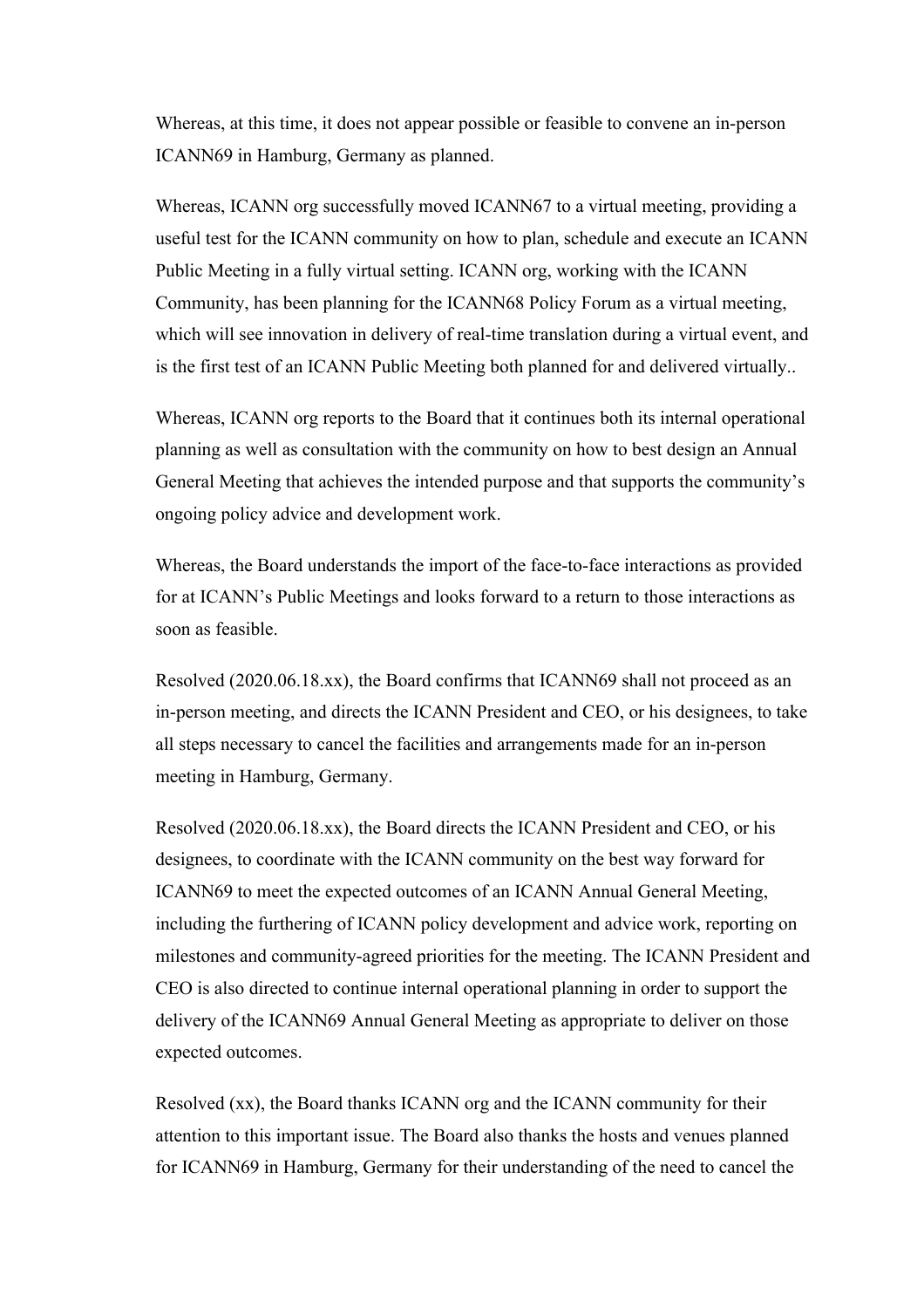Whereas, at this time, it does not appear possible or feasible to convene an in-person ICANN69 in Hamburg, Germany as planned.

Whereas, ICANN org successfully moved ICANN67 to a virtual meeting, providing a useful test for the ICANN community on how to plan, schedule and execute an ICANN Public Meeting in a fully virtual setting. ICANN org, working with the ICANN Community, has been planning for the ICANN68 Policy Forum as a virtual meeting, which will see innovation in delivery of real-time translation during a virtual event, and is the first test of an ICANN Public Meeting both planned for and delivered virtually..

Whereas, ICANN org reports to the Board that it continues both its internal operational planning as well as consultation with the community on how to best design an Annual General Meeting that achieves the intended purpose and that supports the community's ongoing policy advice and development work.

Whereas, the Board understands the import of the face-to-face interactions as provided for at ICANN's Public Meetings and looks forward to a return to those interactions as soon as feasible.

Resolved (2020.06.18.xx), the Board confirms that ICANN69 shall not proceed as an in-person meeting, and directs the ICANN President and CEO, or his designees, to take all steps necessary to cancel the facilities and arrangements made for an in-person meeting in Hamburg, Germany.

Resolved (2020.06.18.xx), the Board directs the ICANN President and CEO, or his designees, to coordinate with the ICANN community on the best way forward for ICANN69 to meet the expected outcomes of an ICANN Annual General Meeting, including the furthering of ICANN policy development and advice work, reporting on milestones and community-agreed priorities for the meeting. The ICANN President and CEO is also directed to continue internal operational planning in order to support the delivery of the ICANN69 Annual General Meeting as appropriate to deliver on those expected outcomes.

Resolved (xx), the Board thanks ICANN org and the ICANN community for their attention to this important issue. The Board also thanks the hosts and venues planned for ICANN69 in Hamburg, Germany for their understanding of the need to cancel the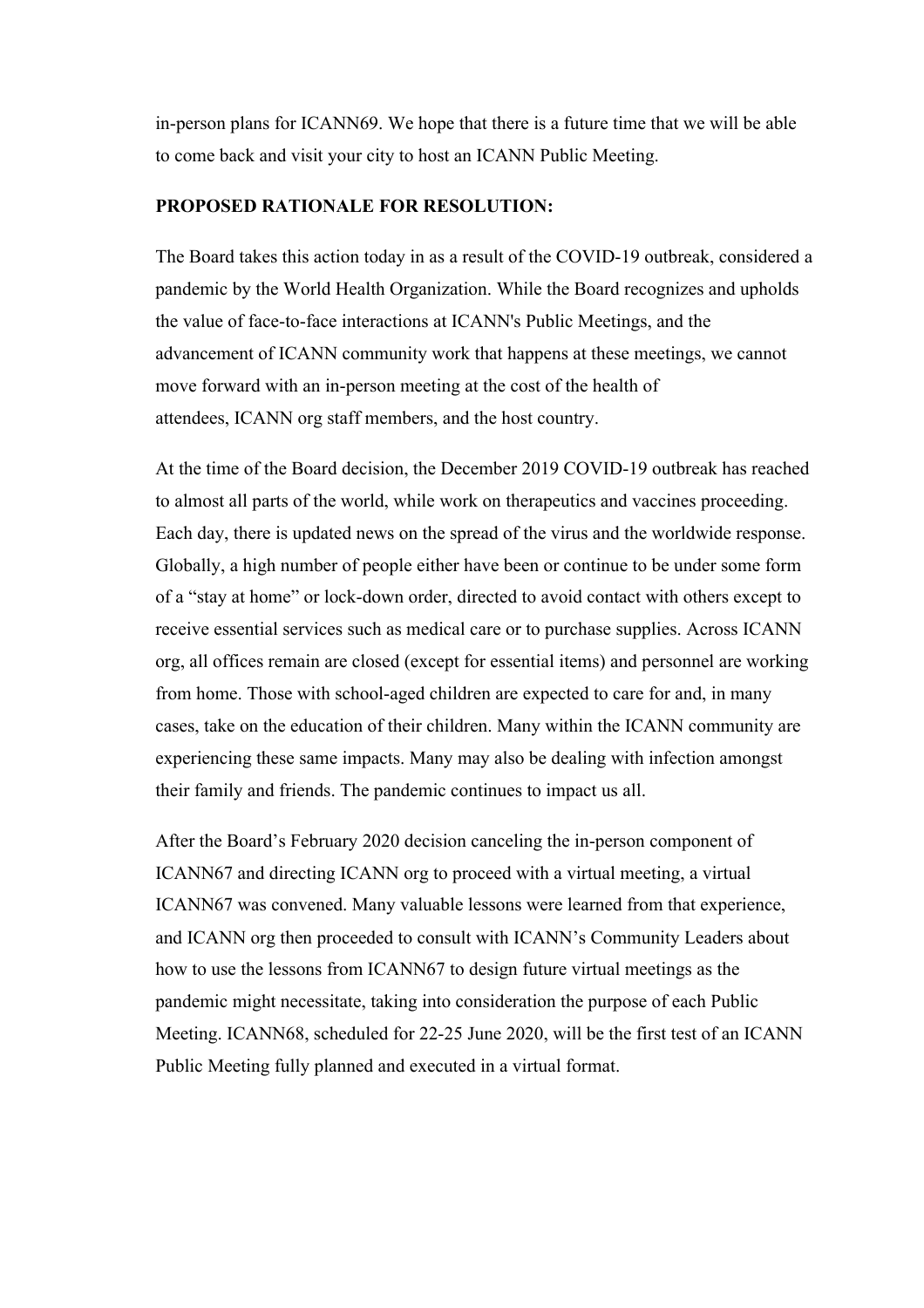in-person plans for ICANN69. We hope that there is a future time that we will be able to come back and visit your city to host an ICANN Public Meeting.

## **PROPOSED RATIONALE FOR RESOLUTION:**

The Board takes this action today in as a result of the COVID-19 outbreak, considered a pandemic by the World Health Organization. While the Board recognizes and upholds the value of face-to-face interactions at ICANN's Public Meetings, and the advancement of ICANN community work that happens at these meetings, we cannot move forward with an in-person meeting at the cost of the health of attendees, ICANN org staff members, and the host country.

At the time of the Board decision, the December 2019 COVID-19 outbreak has reached to almost all parts of the world, while work on therapeutics and vaccines proceeding. Each day, there is updated news on the spread of the virus and the worldwide response. Globally, a high number of people either have been or continue to be under some form of a "stay at home" or lock-down order, directed to avoid contact with others except to receive essential services such as medical care or to purchase supplies. Across ICANN org, all offices remain are closed (except for essential items) and personnel are working from home. Those with school-aged children are expected to care for and, in many cases, take on the education of their children. Many within the ICANN community are experiencing these same impacts. Many may also be dealing with infection amongst their family and friends. The pandemic continues to impact us all.

After the Board's February 2020 decision canceling the in-person component of ICANN67 and directing ICANN org to proceed with a virtual meeting, a virtual ICANN67 was convened. Many valuable lessons were learned from that experience, and ICANN org then proceeded to consult with ICANN's Community Leaders about how to use the lessons from ICANN67 to design future virtual meetings as the pandemic might necessitate, taking into consideration the purpose of each Public Meeting. ICANN68, scheduled for 22-25 June 2020, will be the first test of an ICANN Public Meeting fully planned and executed in a virtual format.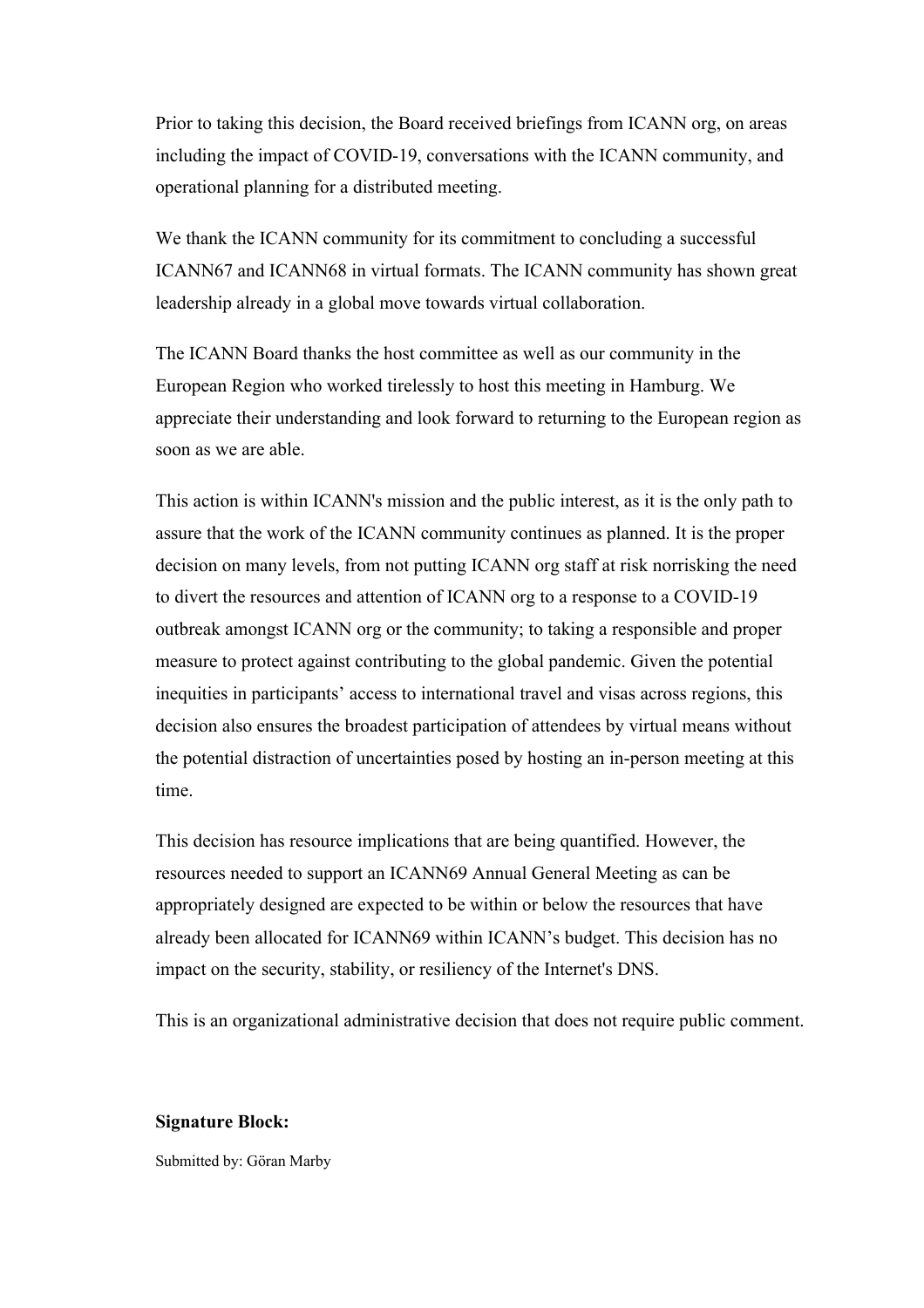Prior to taking this decision, the Board received briefings from ICANN org, on areas including the impact of COVID-19, conversations with the ICANN community, and operational planning for a distributed meeting.

We thank the ICANN community for its commitment to concluding a successful ICANN67 and ICANN68 in virtual formats. The ICANN community has shown great leadership already in a global move towards virtual collaboration.

The ICANN Board thanks the host committee as well as our community in the European Region who worked tirelessly to host this meeting in Hamburg. We appreciate their understanding and look forward to returning to the European region as soon as we are able.

This action is within ICANN's mission and the public interest, as it is the only path to assure that the work of the ICANN community continues as planned. It is the proper decision on many levels, from not putting ICANN org staff at risk norrisking the need to divert the resources and attention of ICANN org to a response to a COVID-19 outbreak amongst ICANN org or the community; to taking a responsible and proper measure to protect against contributing to the global pandemic. Given the potential inequities in participants' access to international travel and visas across regions, this decision also ensures the broadest participation of attendees by virtual means without the potential distraction of uncertainties posed by hosting an in-person meeting at this time.

This decision has resource implications that are being quantified. However, the resources needed to support an ICANN69 Annual General Meeting as can be appropriately designed are expected to be within or below the resources that have already been allocated for ICANN69 within ICANN's budget. This decision has no impact on the security, stability, or resiliency of the Internet's DNS.

This is an organizational administrative decision that does not require public comment.

#### **Signature Block:**

Submitted by: Göran Marby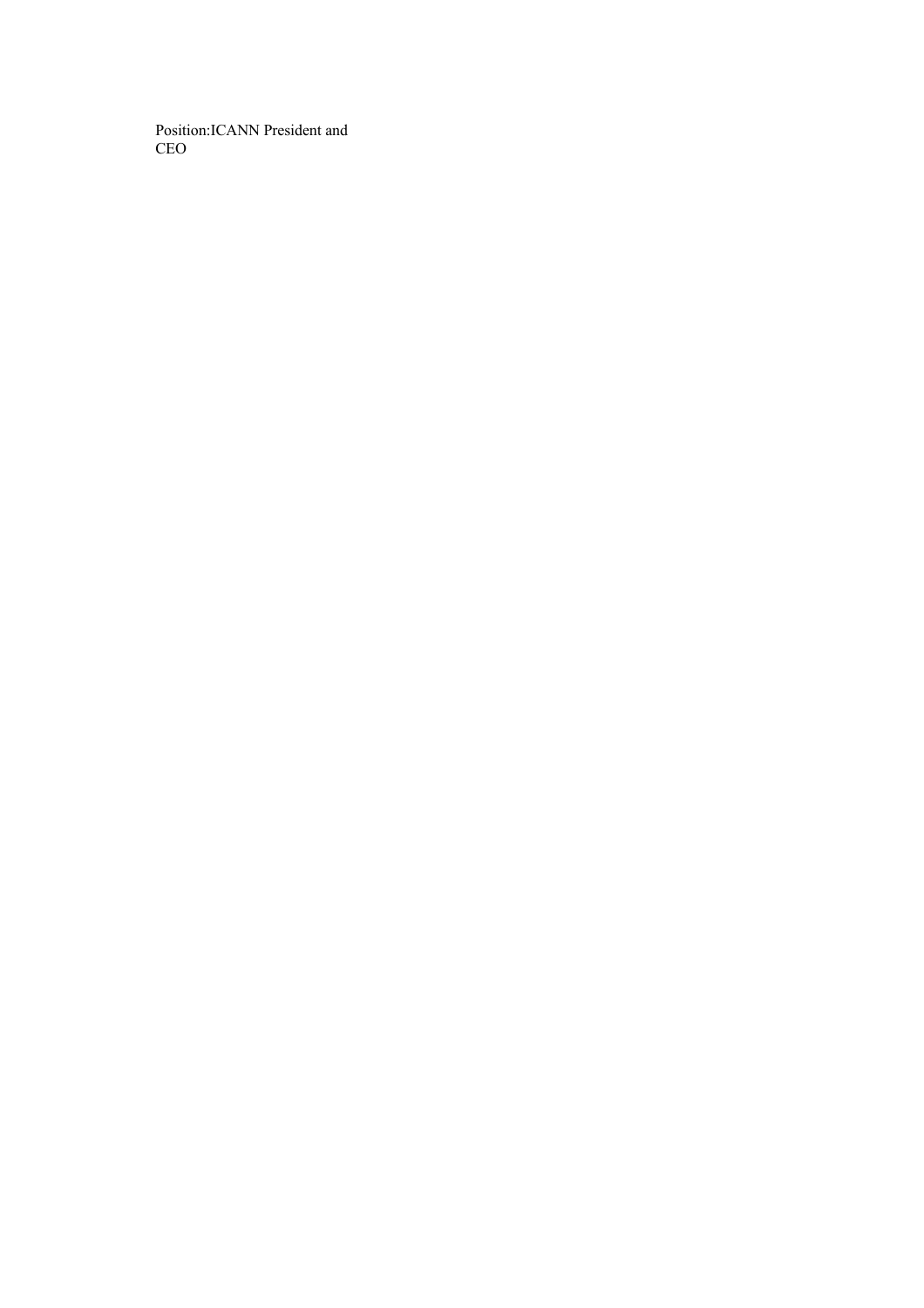Position:ICANN President and CEO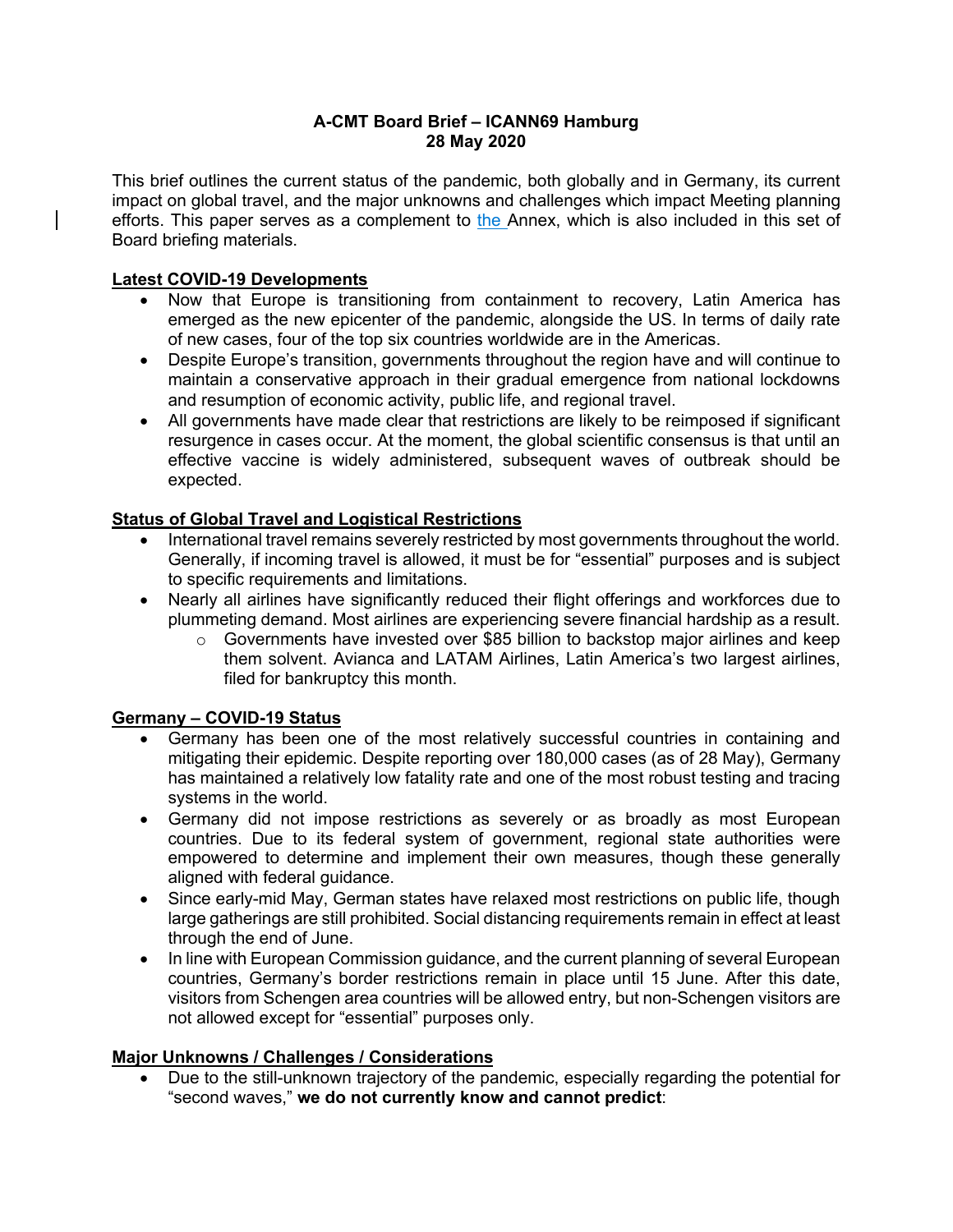#### **A-CMT Board Brief – ICANN69 Hamburg 28 May 2020**

This brief outlines the current status of the pandemic, both globally and in Germany, its current impact on global travel, and the major unknowns and challenges which impact Meeting planning efforts. This paper serves as a complement to the Annex, which is also included in this set of Board briefing materials.

## **Latest COVID-19 Developments**

- Now that Europe is transitioning from containment to recovery, Latin America has emerged as the new epicenter of the pandemic, alongside the US. In terms of daily rate of new cases, four of the top six countries worldwide are in the Americas.
- Despite Europe's transition, governments throughout the region have and will continue to maintain a conservative approach in their gradual emergence from national lockdowns and resumption of economic activity, public life, and regional travel.
- All governments have made clear that restrictions are likely to be reimposed if significant resurgence in cases occur. At the moment, the global scientific consensus is that until an effective vaccine is widely administered, subsequent waves of outbreak should be expected.

# **Status of Global Travel and Logistical Restrictions**

- International travel remains severely restricted by most governments throughout the world. Generally, if incoming travel is allowed, it must be for "essential" purposes and is subject to specific requirements and limitations.
- Nearly all airlines have significantly reduced their flight offerings and workforces due to plummeting demand. Most airlines are experiencing severe financial hardship as a result.
	- $\circ$  Governments have invested over \$85 billion to backstop major airlines and keep them solvent. Avianca and LATAM Airlines, Latin America's two largest airlines, filed for bankruptcy this month.

## **Germany – COVID-19 Status**

- Germany has been one of the most relatively successful countries in containing and mitigating their epidemic. Despite reporting over 180,000 cases (as of 28 May), Germany has maintained a relatively low fatality rate and one of the most robust testing and tracing systems in the world.
- Germany did not impose restrictions as severely or as broadly as most European countries. Due to its federal system of government, regional state authorities were empowered to determine and implement their own measures, though these generally aligned with federal guidance.
- Since early-mid May, German states have relaxed most restrictions on public life, though large gatherings are still prohibited. Social distancing requirements remain in effect at least through the end of June.
- In line with European Commission guidance, and the current planning of several European countries, Germany's border restrictions remain in place until 15 June. After this date, visitors from Schengen area countries will be allowed entry, but non-Schengen visitors are not allowed except for "essential" purposes only.

# **Major Unknowns / Challenges / Considerations**

• Due to the still-unknown trajectory of the pandemic, especially regarding the potential for "second waves," **we do not currently know and cannot predict**: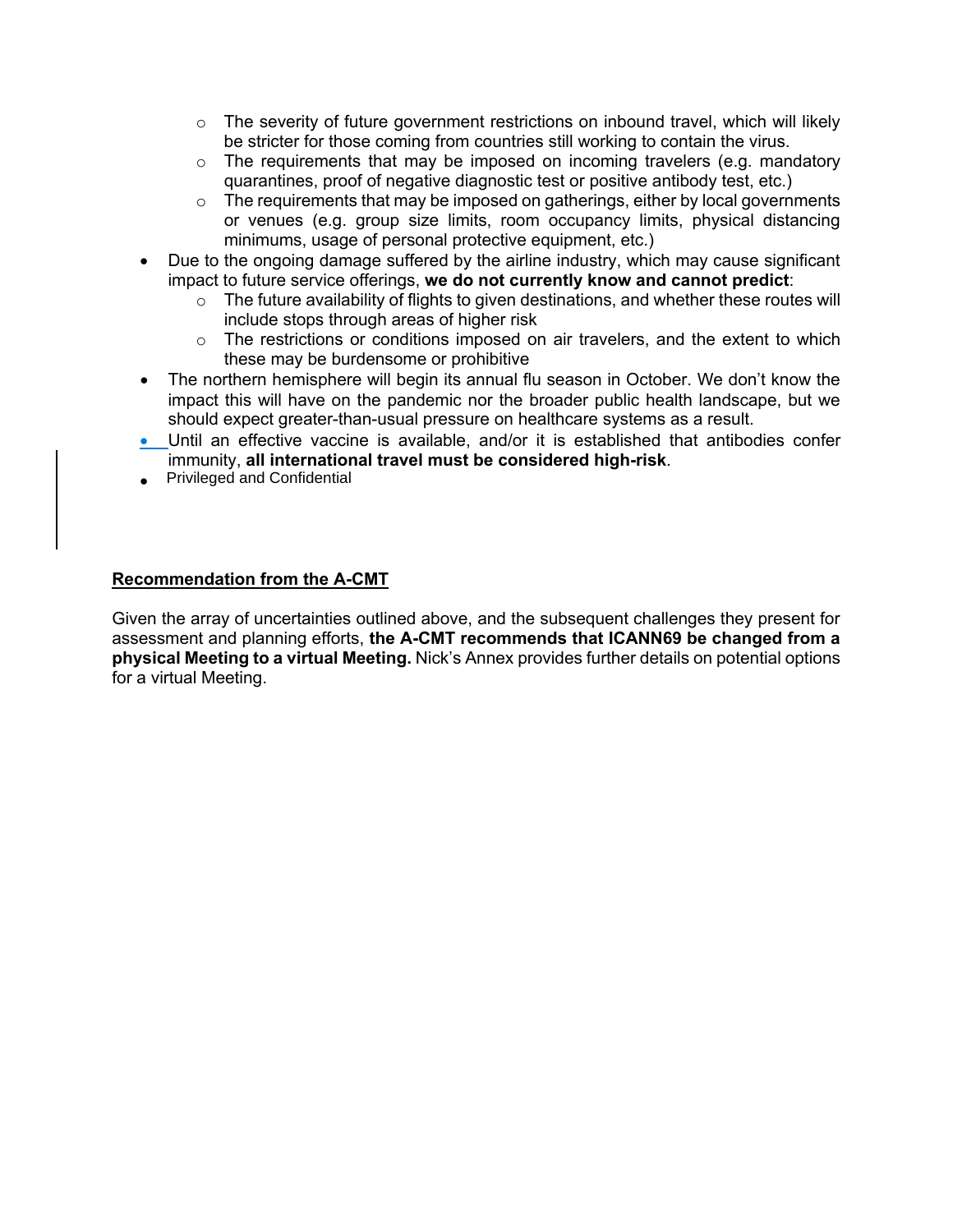- $\circ$  The severity of future government restrictions on inbound travel, which will likely be stricter for those coming from countries still working to contain the virus.
- $\circ$  The requirements that may be imposed on incoming travelers (e.g. mandatory quarantines, proof of negative diagnostic test or positive antibody test, etc.)
- $\circ$  The requirements that may be imposed on gatherings, either by local governments or venues (e.g. group size limits, room occupancy limits, physical distancing minimums, usage of personal protective equipment, etc.)
- Due to the ongoing damage suffered by the airline industry, which may cause significant impact to future service offerings, **we do not currently know and cannot predict**:
	- o The future availability of flights to given destinations, and whether these routes will include stops through areas of higher risk
	- $\circ$  The restrictions or conditions imposed on air travelers, and the extent to which these may be burdensome or prohibitive
- The northern hemisphere will begin its annual flu season in October. We don't know the impact this will have on the pandemic nor the broader public health landscape, but we should expect greater-than-usual pressure on healthcare systems as a result.
- Until an effective vaccine is available, and/or it is established that antibodies confer immunity, **all international travel must be considered high-risk**.
- Privileged and Confidential

#### **Recommendation from the A-CMT**

Given the array of uncertainties outlined above, and the subsequent challenges they present for assessment and planning efforts, **the A-CMT recommends that ICANN69 be changed from a physical Meeting to a virtual Meeting.** Nick's Annex provides further details on potential options for a virtual Meeting.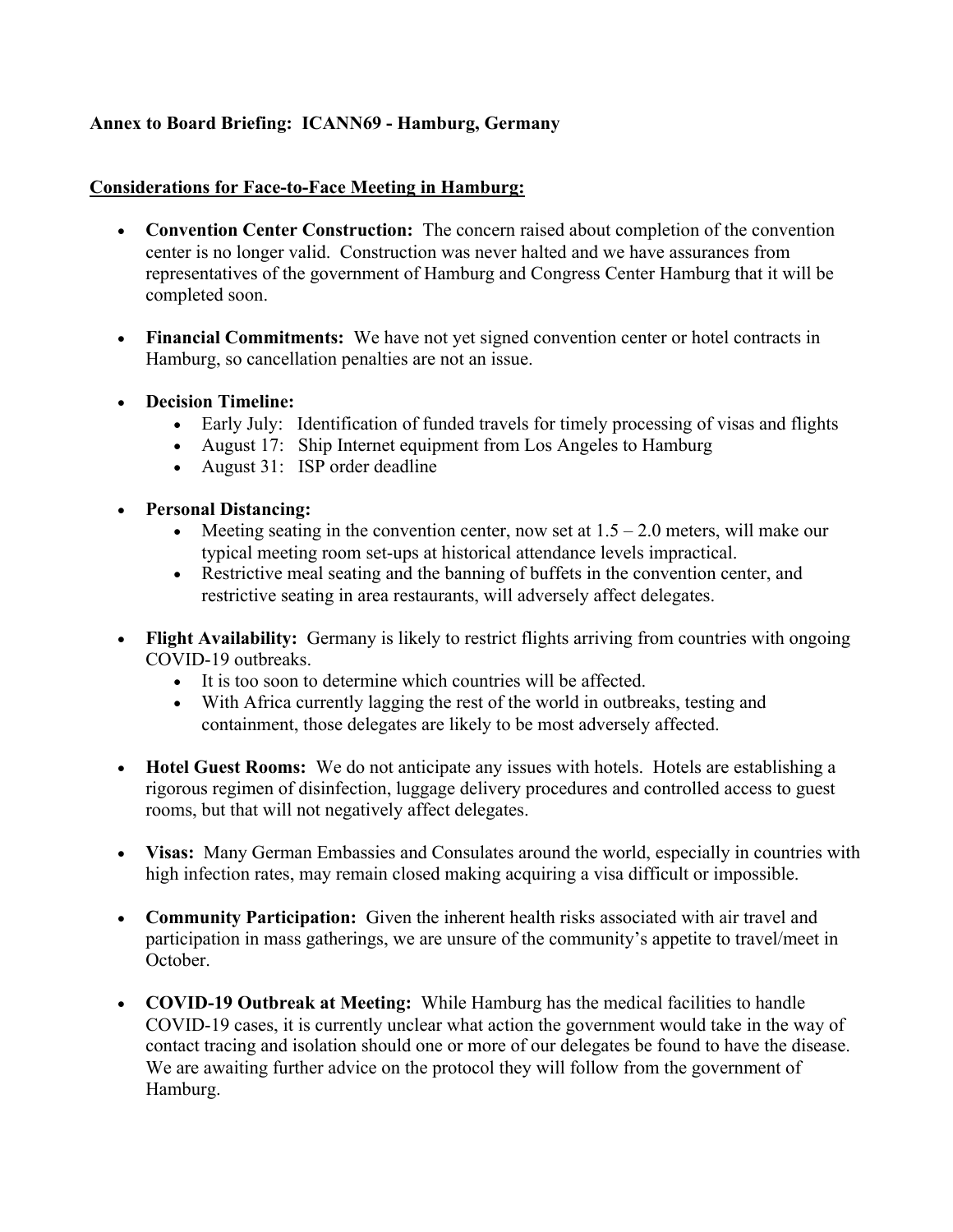# **Annex to Board Briefing: ICANN69 - Hamburg, Germany**

## **Considerations for Face-to-Face Meeting in Hamburg:**

- **Convention Center Construction:** The concern raised about completion of the convention center is no longer valid. Construction was never halted and we have assurances from representatives of the government of Hamburg and Congress Center Hamburg that it will be completed soon.
- **Financial Commitments:** We have not yet signed convention center or hotel contracts in Hamburg, so cancellation penalties are not an issue.
- **Decision Timeline:**
	- Early July: Identification of funded travels for timely processing of visas and flights
	- August 17: Ship Internet equipment from Los Angeles to Hamburg
	- August 31: ISP order deadline
- **Personal Distancing:**
	- Meeting seating in the convention center, now set at  $1.5 2.0$  meters, will make our typical meeting room set-ups at historical attendance levels impractical.
	- Restrictive meal seating and the banning of buffets in the convention center, and restrictive seating in area restaurants, will adversely affect delegates.
- **Flight Availability:** Germany is likely to restrict flights arriving from countries with ongoing COVID-19 outbreaks.
	- It is too soon to determine which countries will be affected.
	- With Africa currently lagging the rest of the world in outbreaks, testing and containment, those delegates are likely to be most adversely affected.
- **Hotel Guest Rooms:** We do not anticipate any issues with hotels. Hotels are establishing a rigorous regimen of disinfection, luggage delivery procedures and controlled access to guest rooms, but that will not negatively affect delegates.
- **Visas:** Many German Embassies and Consulates around the world, especially in countries with high infection rates, may remain closed making acquiring a visa difficult or impossible.
- **Community Participation:** Given the inherent health risks associated with air travel and participation in mass gatherings, we are unsure of the community's appetite to travel/meet in October.
- **COVID-19 Outbreak at Meeting:** While Hamburg has the medical facilities to handle COVID-19 cases, it is currently unclear what action the government would take in the way of contact tracing and isolation should one or more of our delegates be found to have the disease. We are awaiting further advice on the protocol they will follow from the government of Hamburg.